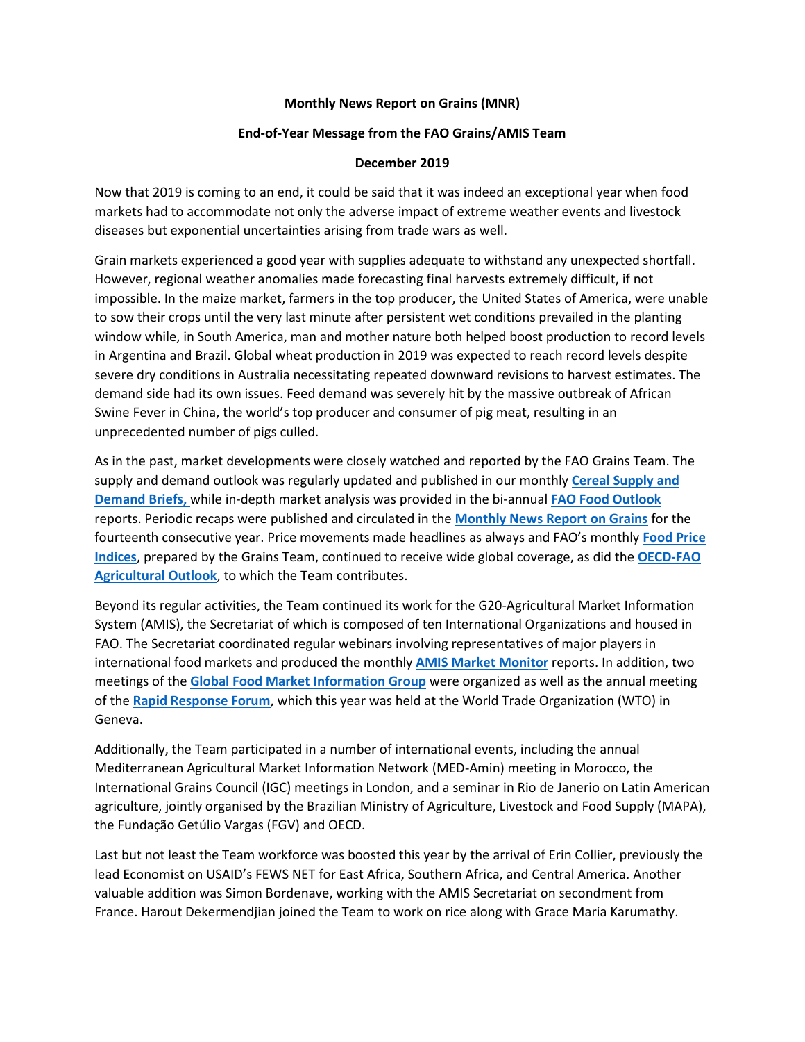## **Monthly News Report on Grains (MNR)**

## **End-of-Year Message from the FAO Grains/AMIS Team**

## **December 2019**

Now that 2019 is coming to an end, it could be said that it was indeed an exceptional year when food markets had to accommodate not only the adverse impact of extreme weather events and livestock diseases but exponential uncertainties arising from trade wars as well.

Grain markets experienced a good year with supplies adequate to withstand any unexpected shortfall. However, regional weather anomalies made forecasting final harvests extremely difficult, if not impossible. In the maize market, farmers in the top producer, the United States of America, were unable to sow their crops until the very last minute after persistent wet conditions prevailed in the planting window while, in South America, man and mother nature both helped boost production to record levels in Argentina and Brazil. Global wheat production in 2019 was expected to reach record levels despite severe dry conditions in Australia necessitating repeated downward revisions to harvest estimates. The demand side had its own issues. Feed demand was severely hit by the massive outbreak of African Swine Fever in China, the world's top producer and consumer of pig meat, resulting in an unprecedented number of pigs culled.

As in the past, market developments were closely watched and reported by the FAO Grains Team. The supply and demand outlook was regularly updated and published in our monthly **[Cereal Supply and](http://www.fao.org/worldfoodsituation/csdb/en/)  [Demand Briefs,](http://www.fao.org/worldfoodsituation/csdb/en/)** while in-depth market analysis was provided in the bi-annual **[FAO Food Outlook](http://www.fao.org/giews/reports/food-outlook/en/)** reports. Periodic recaps were published and circulated in the **[Monthly News Report on Grains](http://www.fao.org/economic/est/publications/grains-publications/monthly-news-report-on-grains-mnr/en/)** for the fourteenth consecutive year. Price movements made headlines as always and FAO's monthly **[Food Price](http://www.fao.org/worldfoodsituation/foodpricesindex/en/)  [Indices](http://www.fao.org/worldfoodsituation/foodpricesindex/en/)**, prepared by the Grains Team, continued to receive wide global coverage, as did the **[OECD-FAO](http://www.agri-outlook.org/)  [Agricultural Outlook](http://www.agri-outlook.org/)**, to which the Team contributes.

Beyond its regular activities, the Team continued its work for the G20-Agricultural Market Information System (AMIS), the Secretariat of which is composed of ten International Organizations and housed in FAO. The Secretariat coordinated regular webinars involving representatives of major players in international food markets and produced the monthly **[AMIS Market Monitor](http://www.amis-outlook.org/amis-monitoring/monthly-report/en/)** reports. In addition, two meetings of the **[Global Food Market Information](http://www.amis-outlook.org/amis-about/information-group/en/) Group** were organized as well as the annual meeting of the **[Rapid Response Forum](http://www.amis-outlook.org/amis-about/rapid-response-forum/en/)**, which this year was held at the World Trade Organization (WTO) in Geneva.

Additionally, the Team participated in a number of international events, including the annual Mediterranean Agricultural Market Information Network (MED-Amin) meeting in Morocco, the International Grains Council (IGC) meetings in London, and a seminar in Rio de Janerio on Latin American agriculture, jointly organised by the Brazilian Ministry of Agriculture, Livestock and Food Supply (MAPA), the Fundação Getúlio Vargas (FGV) and OECD.

Last but not least the Team workforce was boosted this year by the arrival of Erin Collier, previously the lead Economist on USAID's FEWS NET for East Africa, Southern Africa, and Central America. Another valuable addition was Simon Bordenave, working with the AMIS Secretariat on secondment from France. Harout Dekermendjian joined the Team to work on rice along with Grace Maria Karumathy.